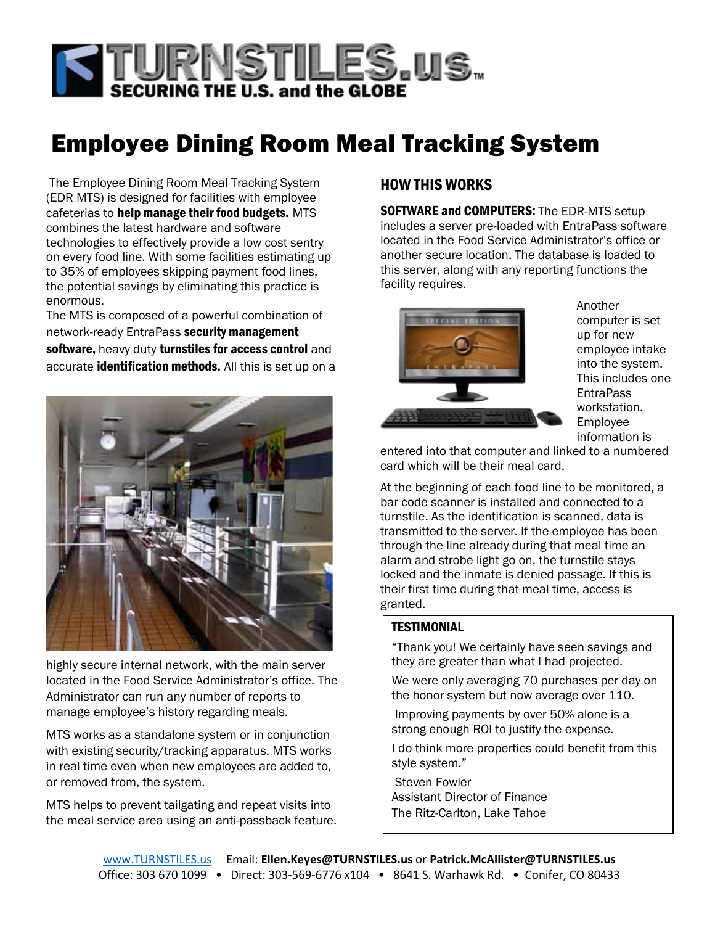

# Employee Dining Room Meal Tracking System

The Employee Dining Room Meal Tracking System (EDR MTS) is designed for facilities with employee cafeterias to help manage their food budgets. MTS combines the latest hardware and software technologies to effectively provide a low cost sentry on every food line. With some facilities estimating up to 35% of employees skipping payment food lines, the potential savings by eliminating this practice is enormous.

The MTS is composed of a powerful combination of network-ready EntraPass security management software, heavy duty turnstiles for access control and accurate **identification methods.** All this is set up on a



highly secure internal network, with the main server located in the Food Service Administrator's office. The Administrator can run any number of reports to manage employee's history regarding meals.

MTS works as a standalone system or in conjunction with existing security/tracking apparatus. MTS works in real time even when new employees are added to, or removed from, the system.

MTS helps to prevent tailgating and repeat visits into the meal service area using an anti-passback feature.

## HOW THIS WORKS

**SOFTWARE and COMPUTERS:** The EDR-MTS setup includes a server pre-loaded with EntraPass software located in the Food Service Administrator's office or another secure location. The database is loaded to this server, along with any reporting functions the facility requires.



Another computer is set up for new employee intake into the system. This includes one **EntraPass** workstation. Employee information is

entered into that computer and linked to a numbered card which will be their meal card.

At the beginning of each food line to be monitored, a bar code scanner is installed and connected to a turnstile. As the identification is scanned, data is transmitted to the server. If the employee has been through the line already during that meal time an alarm and strobe light go on, the turnstile stays locked and the inmate is denied passage. If this is their first time during that meal time, access is granted.

### TESTIMONIAL

"Thank you! We certainly have seen savings and they are greater than what I had projected.

We were only averaging 70 purchases per day on the honor system but now average over 110.

Improving payments by over 50% alone is a strong enough ROI to justify the expense.

I do think more properties could benefit from this style system."

Steven Fowler Assistant Director of Finance The Ritz-Carlton, Lake Tahoe